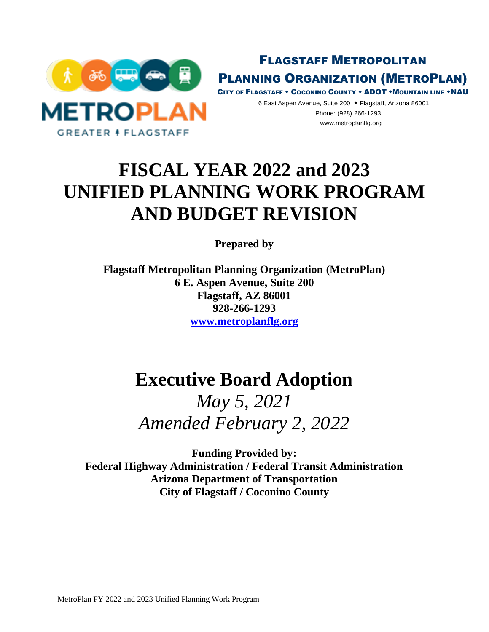

FLAGSTAFF METROPOLITAN PLANNING ORGANIZATION (METROPLAN)

CITY OF FLAGSTAFF + COCONINO COUNTY + ADOT + MOUNTAIN LINE + NAU

6 East Aspen Avenue, Suite 200 Flagstaff, Arizona 86001 Phone: (928) 266-1293 www.metroplanflg.org

# **FISCAL YEAR 2022 and 2023 UNIFIED PLANNING WORK PROGRAM AND BUDGET REVISION**

**Prepared by**

**Flagstaff Metropolitan Planning Organization (MetroPlan) 6 E. Aspen Avenue, Suite 200 Flagstaff, AZ 86001 928-266-1293 www.metroplanflg.org**

# **Executive Board Adoption**

*May 5, 2021 Amended February 2, 2022*

**Funding Provided by: Federal Highway Administration / Federal Transit Administration Arizona Department of Transportation City of Flagstaff / Coconino County**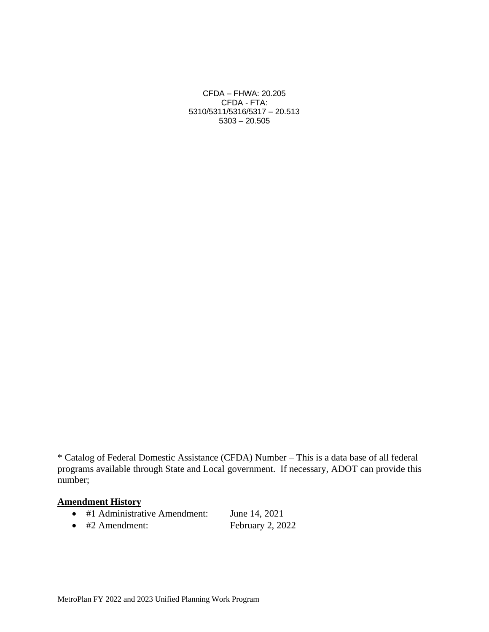CFDA – FHWA: 20.205 CFDA - FTA: 5310/5311/5316/5317 – 20.513 5303 – 20.505

\* Catalog of Federal Domestic Assistance (CFDA) Number – This is a data base of all federal programs available through State and Local government. If necessary, ADOT can provide this number;

## **Amendment History**

- #1 Administrative Amendment: June 14, 2021
- #2 Amendment: February 2, 2022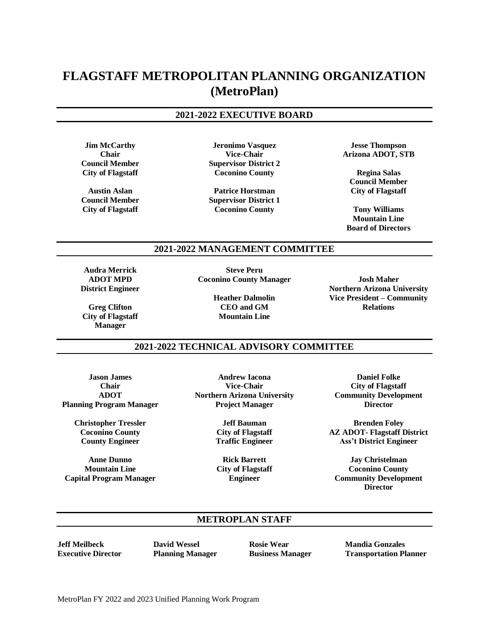# **FLAGSTAFF METROPOLITAN PLANNING ORGANIZATION (MetroPlan)**

#### **2021-2022 EXECUTIVE BOARD**

**Jim McCarthy Chair Council Member City of Flagstaff**

**Austin Aslan Council Member City of Flagstaff**

**Jeronimo Vasquez Vice-Chair Supervisor District 2 Coconino County**

**Patrice Horstman Supervisor District 1 Coconino County**

**Jesse Thompson Arizona ADOT, STB**

**Regina Salas Council Member City of Flagstaff**

**Tony Williams Mountain Line Board of Directors**

#### **2021-2022 MANAGEMENT COMMITTEE**

**Audra Merrick ADOT MPD District Engineer**

**Greg Clifton City of Flagstaff Manager**

**Steve Peru Coconino County Manager**

> **Heather Dalmolin CEO and GM Mountain Line**

**Josh Maher Northern Arizona University Vice President – Community Relations**

#### **2021-2022 TECHNICAL ADVISORY COMMITTEE**

**Jason James Chair ADOT Planning Program Manager**

> **Christopher Tressler Coconino County County Engineer**

**Anne Dunno Mountain Line Capital Program Manager**

**Andrew Iacona Vice-Chair Northern Arizona University Project Manager**

> **Jeff Bauman City of Flagstaff Traffic Engineer**

**Rick Barrett City of Flagstaff Engineer**

**Daniel Folke City of Flagstaff Community Development Director**

**Brenden Foley AZ ADOT- Flagstaff District Ass't District Engineer**

**Jay Christelman Coconino County Community Development Director**

#### **METROPLAN STAFF**

**Jeff Meilbeck Executive Director** **David Wessel Planning Manager** **Rosie Wear Business Manager** **Mandia Gonzales Transportation Planner**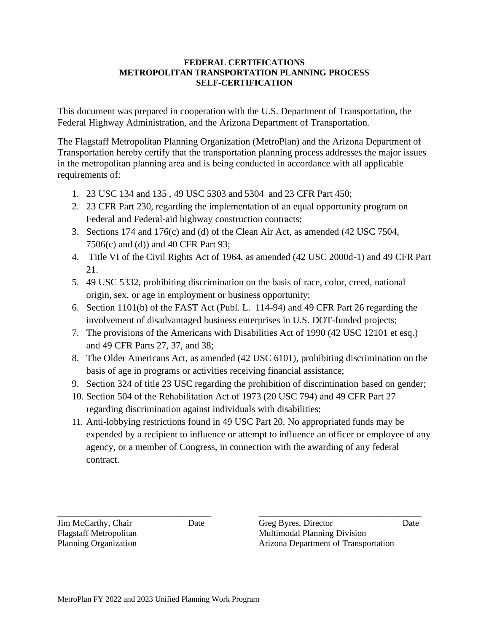#### **FEDERAL CERTIFICATIONS METROPOLITAN TRANSPORTATION PLANNING PROCESS SELF-CERTIFICATION**

This document was prepared in cooperation with the U.S. Department of Transportation, the Federal Highway Administration, and the Arizona Department of Transportation.

The Flagstaff Metropolitan Planning Organization (MetroPlan) and the Arizona Department of Transportation hereby certify that the transportation planning process addresses the major issues in the metropolitan planning area and is being conducted in accordance with all applicable requirements of:

- 1. 23 USC 134 and 135 , 49 USC 5303 and 5304 and 23 CFR Part 450;
- 2. 23 CFR Part 230, regarding the implementation of an equal opportunity program on Federal and Federal-aid highway construction contracts;
- 3. Sections 174 and 176(c) and (d) of the Clean Air Act, as amended (42 USC 7504, 7506(c) and (d)) and 40 CFR Part 93;
- 4. Title VI of the Civil Rights Act of 1964, as amended (42 USC 2000d-1) and 49 CFR Part 21.
- 5. 49 USC 5332, prohibiting discrimination on the basis of race, color, creed, national origin, sex, or age in employment or business opportunity;
- 6. Section 1101(b) of the FAST Act (Publ. L. 114-94) and 49 CFR Part 26 regarding the involvement of disadvantaged business enterprises in U.S. DOT-funded projects;
- 7. The provisions of the Americans with Disabilities Act of 1990 (42 USC 12101 et esq.) and 49 CFR Parts 27, 37, and 38;
- 8. The Older Americans Act, as amended (42 USC 6101), prohibiting discrimination on the basis of age in programs or activities receiving financial assistance;
- 9. Section 324 of title 23 USC regarding the prohibition of discrimination based on gender;
- 10. Section 504 of the Rehabilitation Act of 1973 (20 USC 794) and 49 CFR Part 27 regarding discrimination against individuals with disabilities;
- 11. Anti-lobbying restrictions found in 49 USC Part 20. No appropriated funds may be expended by a recipient to influence or attempt to influence an officer or employee of any agency, or a member of Congress, in connection with the awarding of any federal contract.

\_\_\_\_\_\_\_\_\_\_\_\_\_\_\_\_\_\_\_\_\_\_\_\_\_\_\_\_\_\_\_\_\_\_\_ \_\_\_\_\_\_\_\_\_\_\_\_\_\_\_\_\_\_\_\_\_\_\_\_\_\_\_\_\_\_\_\_\_\_\_\_\_ Jim McCarthy, Chair Date Greg Byres, Director Date Flagstaff Metropolitan Multimodal Planning Division Planning Organization **Arizona Department of Transportation**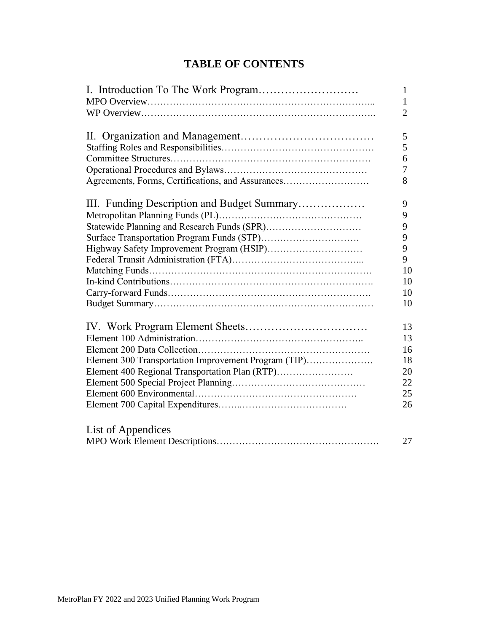# **TABLE OF CONTENTS**

|                                                      | 1              |
|------------------------------------------------------|----------------|
|                                                      | 1              |
|                                                      | $\overline{2}$ |
|                                                      | 5              |
|                                                      | 5              |
|                                                      | 6              |
|                                                      | 7              |
| Agreements, Forms, Certifications, and Assurances    | 8              |
| III. Funding Description and Budget Summary          | 9              |
|                                                      | 9              |
|                                                      | 9              |
|                                                      | 9              |
| Highway Safety Improvement Program (HSIP)            | 9              |
|                                                      | 9              |
|                                                      | 10             |
|                                                      | 10             |
|                                                      | 10             |
|                                                      | 10             |
|                                                      | 13             |
|                                                      | 13             |
|                                                      | 16             |
| Element 300 Transportation Improvement Program (TIP) | 18             |
| Element 400 Regional Transportation Plan (RTP)       | 20             |
|                                                      | 22             |
|                                                      | 25             |
|                                                      | 26             |
| List of Appendices                                   |                |
|                                                      | 27             |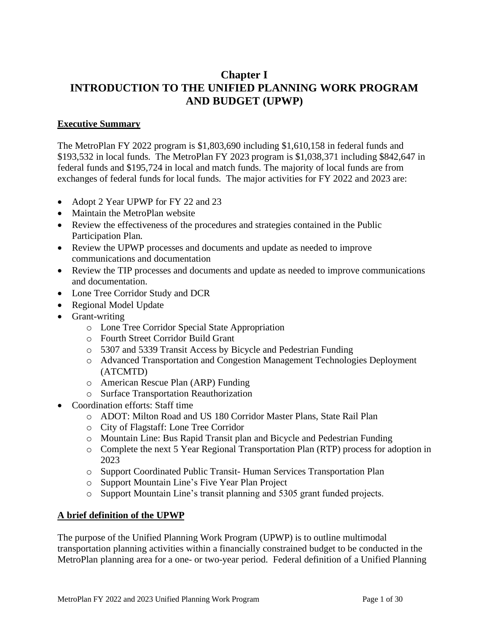# **Chapter I INTRODUCTION TO THE UNIFIED PLANNING WORK PROGRAM AND BUDGET (UPWP)**

## **Executive Summary**

The MetroPlan FY 2022 program is \$1,803,690 including \$1,610,158 in federal funds and \$193,532 in local funds. The MetroPlan FY 2023 program is \$1,038,371 including \$842,647 in federal funds and \$195,724 in local and match funds. The majority of local funds are from exchanges of federal funds for local funds. The major activities for FY 2022 and 2023 are:

- Adopt 2 Year UPWP for FY 22 and 23
- Maintain the MetroPlan website
- Review the effectiveness of the procedures and strategies contained in the Public Participation Plan.
- Review the UPWP processes and documents and update as needed to improve communications and documentation
- Review the TIP processes and documents and update as needed to improve communications and documentation.
- Lone Tree Corridor Study and DCR
- Regional Model Update
- Grant-writing
	- o Lone Tree Corridor Special State Appropriation
	- o Fourth Street Corridor Build Grant
	- o 5307 and 5339 Transit Access by Bicycle and Pedestrian Funding
	- o Advanced Transportation and Congestion Management Technologies Deployment (ATCMTD)
	- o American Rescue Plan (ARP) Funding
	- o Surface Transportation Reauthorization
- Coordination efforts: Staff time
	- o ADOT: Milton Road and US 180 Corridor Master Plans, State Rail Plan
	- o City of Flagstaff: Lone Tree Corridor
	- o Mountain Line: Bus Rapid Transit plan and Bicycle and Pedestrian Funding
	- o Complete the next 5 Year Regional Transportation Plan (RTP) process for adoption in 2023
	- o Support Coordinated Public Transit- Human Services Transportation Plan
	- o Support Mountain Line's Five Year Plan Project
	- o Support Mountain Line's transit planning and 5305 grant funded projects.

## **A brief definition of the UPWP**

The purpose of the Unified Planning Work Program (UPWP) is to outline multimodal transportation planning activities within a financially constrained budget to be conducted in the MetroPlan planning area for a one- or two-year period. Federal definition of a Unified Planning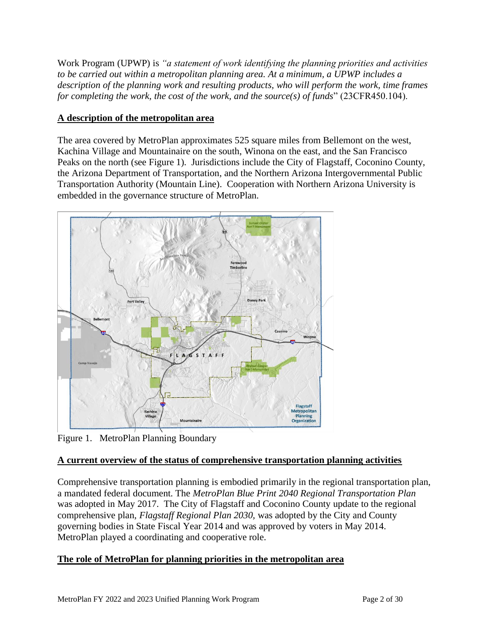Work Program (UPWP) is *"a statement of work identifying the planning priorities and activities to be carried out within a metropolitan planning area. At a minimum, a UPWP includes a description of the planning work and resulting products, who will perform the work, time frames for completing the work, the cost of the work, and the source(s) of funds*" (23CFR450.104).

## **A description of the metropolitan area**

The area covered by MetroPlan approximates 525 square miles from Bellemont on the west, Kachina Village and Mountainaire on the south, Winona on the east, and the San Francisco Peaks on the north (see Figure 1). Jurisdictions include the City of Flagstaff, Coconino County, the Arizona Department of Transportation, and the Northern Arizona Intergovernmental Public Transportation Authority (Mountain Line). Cooperation with Northern Arizona University is embedded in the governance structure of MetroPlan.



Figure 1. MetroPlan Planning Boundary

## **A current overview of the status of comprehensive transportation planning activities**

Comprehensive transportation planning is embodied primarily in the regional transportation plan, a mandated federal document. The *MetroPlan Blue Print 2040 Regional Transportation Plan* was adopted in May 2017. The City of Flagstaff and Coconino County update to the regional comprehensive plan, *Flagstaff Regional Plan 2030,* was adopted by the City and County governing bodies in State Fiscal Year 2014 and was approved by voters in May 2014. MetroPlan played a coordinating and cooperative role.

## **The role of MetroPlan for planning priorities in the metropolitan area**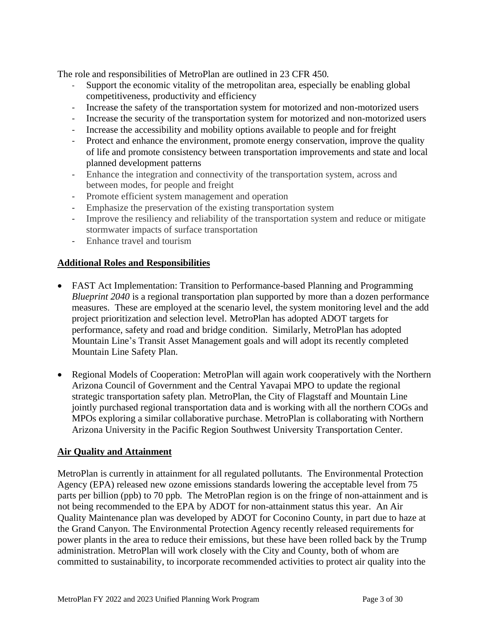The role and responsibilities of MetroPlan are outlined in 23 CFR 450.

- Support the economic vitality of the metropolitan area, especially be enabling global competitiveness, productivity and efficiency
- Increase the safety of the transportation system for motorized and non-motorized users
- Increase the security of the transportation system for motorized and non-motorized users
- Increase the accessibility and mobility options available to people and for freight
- Protect and enhance the environment, promote energy conservation, improve the quality of life and promote consistency between transportation improvements and state and local planned development patterns
- Enhance the integration and connectivity of the transportation system, across and between modes, for people and freight
- Promote efficient system management and operation
- Emphasize the preservation of the existing transportation system
- Improve the resiliency and reliability of the transportation system and reduce or mitigate stormwater impacts of surface transportation
- Enhance travel and tourism

## **Additional Roles and Responsibilities**

- FAST Act Implementation: Transition to Performance-based Planning and Programming *Blueprint 2040* is a regional transportation plan supported by more than a dozen performance measures. These are employed at the scenario level, the system monitoring level and the add project prioritization and selection level. MetroPlan has adopted ADOT targets for performance, safety and road and bridge condition. Similarly, MetroPlan has adopted Mountain Line's Transit Asset Management goals and will adopt its recently completed Mountain Line Safety Plan.
- Regional Models of Cooperation: MetroPlan will again work cooperatively with the Northern Arizona Council of Government and the Central Yavapai MPO to update the regional strategic transportation safety plan. MetroPlan, the City of Flagstaff and Mountain Line jointly purchased regional transportation data and is working with all the northern COGs and MPOs exploring a similar collaborative purchase. MetroPlan is collaborating with Northern Arizona University in the Pacific Region Southwest University Transportation Center.

## **Air Quality and Attainment**

MetroPlan is currently in attainment for all regulated pollutants. The Environmental Protection Agency (EPA) released new ozone emissions standards lowering the acceptable level from 75 parts per billion (ppb) to 70 ppb. The MetroPlan region is on the fringe of non-attainment and is not being recommended to the EPA by ADOT for non-attainment status this year. An Air Quality Maintenance plan was developed by ADOT for Coconino County, in part due to haze at the Grand Canyon. The Environmental Protection Agency recently released requirements for power plants in the area to reduce their emissions, but these have been rolled back by the Trump administration. MetroPlan will work closely with the City and County, both of whom are committed to sustainability, to incorporate recommended activities to protect air quality into the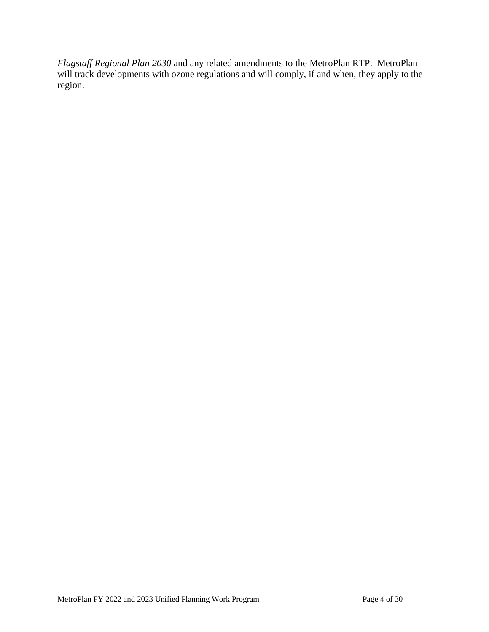*Flagstaff Regional Plan 2030* and any related amendments to the MetroPlan RTP. MetroPlan will track developments with ozone regulations and will comply, if and when, they apply to the region.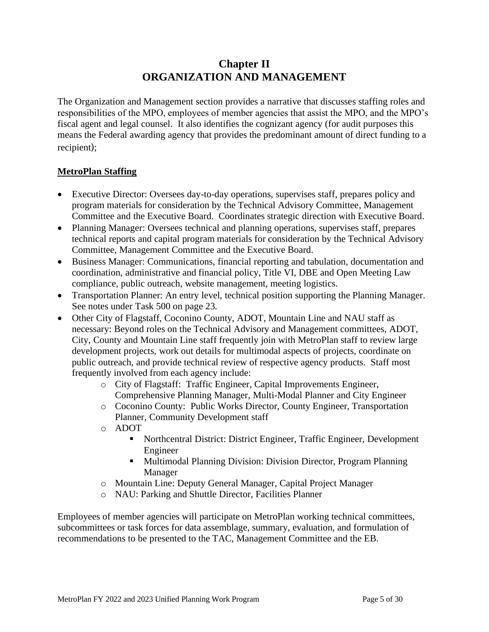# **Chapter II ORGANIZATION AND MANAGEMENT**

The Organization and Management section provides a narrative that discusses staffing roles and responsibilities of the MPO, employees of member agencies that assist the MPO, and the MPO's fiscal agent and legal counsel. It also identifies the cognizant agency (for audit purposes this means the Federal awarding agency that provides the predominant amount of direct funding to a recipient);

## **MetroPlan Staffing**

- Executive Director: Oversees day-to-day operations, supervises staff, prepares policy and program materials for consideration by the Technical Advisory Committee, Management Committee and the Executive Board. Coordinates strategic direction with Executive Board.
- Planning Manager: Oversees technical and planning operations, supervises staff, prepares technical reports and capital program materials for consideration by the Technical Advisory Committee, Management Committee and the Executive Board.
- Business Manager: Communications, financial reporting and tabulation, documentation and coordination, administrative and financial policy, Title VI, DBE and Open Meeting Law compliance, public outreach, website management, meeting logistics.
- Transportation Planner: An entry level, technical position supporting the Planning Manager. See notes under Task 500 on page 23.
- Other City of Flagstaff, Coconino County, ADOT, Mountain Line and NAU staff as necessary: Beyond roles on the Technical Advisory and Management committees, ADOT, City, County and Mountain Line staff frequently join with MetroPlan staff to review large development projects, work out details for multimodal aspects of projects, coordinate on public outreach, and provide technical review of respective agency products. Staff most frequently involved from each agency include:
	- o City of Flagstaff: Traffic Engineer, Capital Improvements Engineer, Comprehensive Planning Manager, Multi-Modal Planner and City Engineer
	- o Coconino County: Public Works Director, County Engineer, Transportation Planner, Community Development staff
	- o ADOT
		- Northcentral District: District Engineer, Traffic Engineer, Development Engineer
		- Multimodal Planning Division: Division Director, Program Planning Manager
	- o Mountain Line: Deputy General Manager, Capital Project Manager
	- o NAU: Parking and Shuttle Director, Facilities Planner

Employees of member agencies will participate on MetroPlan working technical committees, subcommittees or task forces for data assemblage, summary, evaluation, and formulation of recommendations to be presented to the TAC, Management Committee and the EB.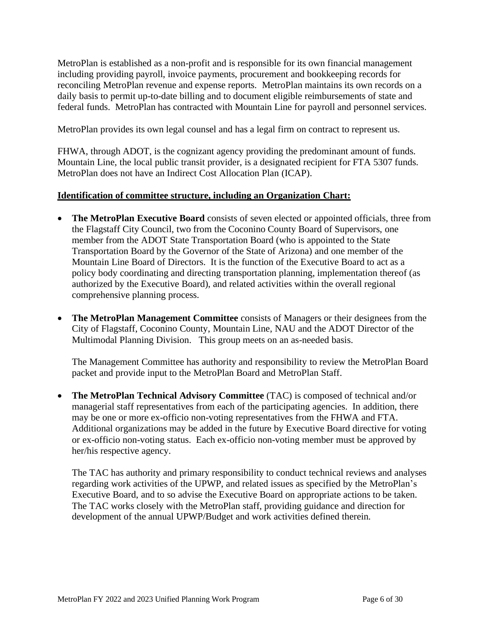MetroPlan is established as a non-profit and is responsible for its own financial management including providing payroll, invoice payments, procurement and bookkeeping records for reconciling MetroPlan revenue and expense reports. MetroPlan maintains its own records on a daily basis to permit up-to-date billing and to document eligible reimbursements of state and federal funds. MetroPlan has contracted with Mountain Line for payroll and personnel services.

MetroPlan provides its own legal counsel and has a legal firm on contract to represent us.

FHWA, through ADOT, is the cognizant agency providing the predominant amount of funds. Mountain Line, the local public transit provider, is a designated recipient for FTA 5307 funds. MetroPlan does not have an Indirect Cost Allocation Plan (ICAP).

## **Identification of committee structure, including an Organization Chart:**

- **The MetroPlan Executive Board** consists of seven elected or appointed officials, three from the Flagstaff City Council, two from the Coconino County Board of Supervisors, one member from the ADOT State Transportation Board (who is appointed to the State Transportation Board by the Governor of the State of Arizona) and one member of the Mountain Line Board of Directors. It is the function of the Executive Board to act as a policy body coordinating and directing transportation planning, implementation thereof (as authorized by the Executive Board), and related activities within the overall regional comprehensive planning process.
- **The MetroPlan Management Committee** consists of Managers or their designees from the City of Flagstaff, Coconino County, Mountain Line, NAU and the ADOT Director of the Multimodal Planning Division. This group meets on an as-needed basis.

The Management Committee has authority and responsibility to review the MetroPlan Board packet and provide input to the MetroPlan Board and MetroPlan Staff.

• **The MetroPlan Technical Advisory Committee** (TAC) is composed of technical and/or managerial staff representatives from each of the participating agencies. In addition, there may be one or more ex-officio non-voting representatives from the FHWA and FTA. Additional organizations may be added in the future by Executive Board directive for voting or ex-officio non-voting status. Each ex-officio non-voting member must be approved by her/his respective agency.

The TAC has authority and primary responsibility to conduct technical reviews and analyses regarding work activities of the UPWP, and related issues as specified by the MetroPlan's Executive Board, and to so advise the Executive Board on appropriate actions to be taken. The TAC works closely with the MetroPlan staff, providing guidance and direction for development of the annual UPWP/Budget and work activities defined therein.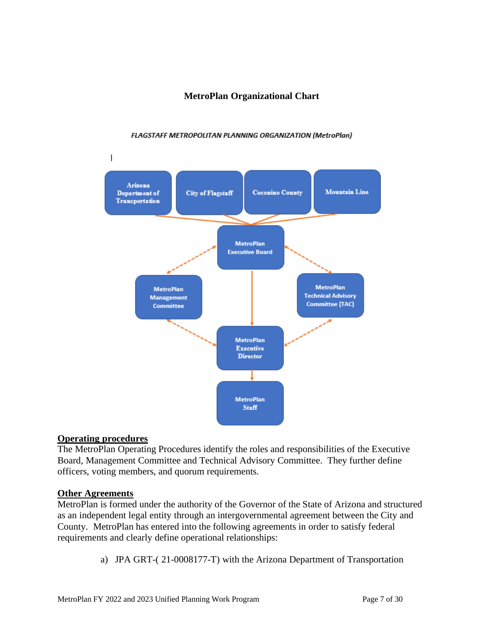## **MetroPlan Organizational Chart**

#### **FLAGSTAFF METROPOLITAN PLANNING ORGANIZATION (MetroPlan)**



## **Operating procedures**

The MetroPlan Operating Procedures identify the roles and responsibilities of the Executive Board, Management Committee and Technical Advisory Committee. They further define officers, voting members, and quorum requirements.

#### **Other Agreements**

MetroPlan is formed under the authority of the Governor of the State of Arizona and structured as an independent legal entity through an intergovernmental agreement between the City and County. MetroPlan has entered into the following agreements in order to satisfy federal requirements and clearly define operational relationships:

a) JPA GRT-( 21-0008177-T) with the Arizona Department of Transportation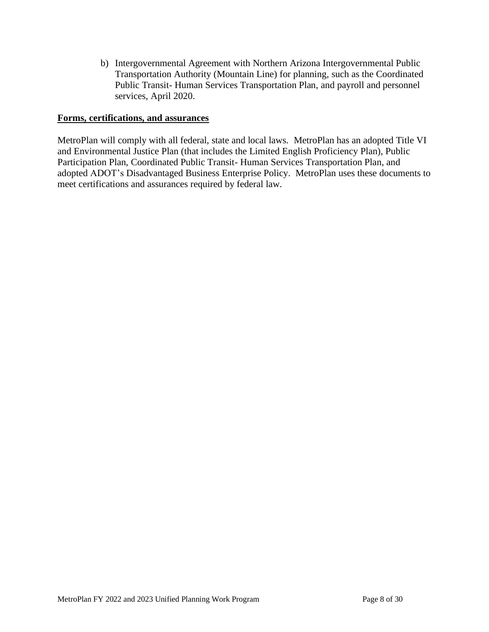b) Intergovernmental Agreement with Northern Arizona Intergovernmental Public Transportation Authority (Mountain Line) for planning, such as the Coordinated Public Transit- Human Services Transportation Plan, and payroll and personnel services, April 2020.

## **Forms, certifications, and assurances**

MetroPlan will comply with all federal, state and local laws. MetroPlan has an adopted Title VI and Environmental Justice Plan (that includes the Limited English Proficiency Plan), Public Participation Plan, Coordinated Public Transit- Human Services Transportation Plan, and adopted ADOT's Disadvantaged Business Enterprise Policy. MetroPlan uses these documents to meet certifications and assurances required by federal law.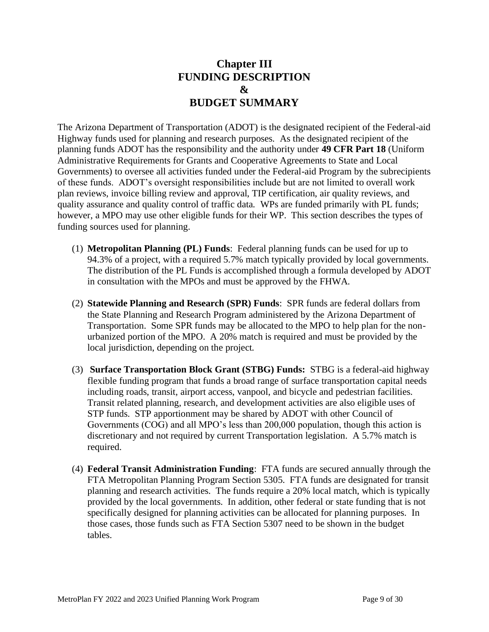# **Chapter III FUNDING DESCRIPTION & BUDGET SUMMARY**

The Arizona Department of Transportation (ADOT) is the designated recipient of the Federal-aid Highway funds used for planning and research purposes. As the designated recipient of the planning funds ADOT has the responsibility and the authority under **49 CFR Part 18** (Uniform Administrative Requirements for Grants and Cooperative Agreements to State and Local Governments) to oversee all activities funded under the Federal-aid Program by the subrecipients of these funds. ADOT's oversight responsibilities include but are not limited to overall work plan reviews, invoice billing review and approval, TIP certification, air quality reviews, and quality assurance and quality control of traffic data. WPs are funded primarily with PL funds; however, a MPO may use other eligible funds for their WP. This section describes the types of funding sources used for planning.

- (1) **Metropolitan Planning (PL) Funds**: Federal planning funds can be used for up to 94.3% of a project, with a required 5.7% match typically provided by local governments. The distribution of the PL Funds is accomplished through a formula developed by ADOT in consultation with the MPOs and must be approved by the FHWA.
- (2) **Statewide Planning and Research (SPR) Funds**: SPR funds are federal dollars from the State Planning and Research Program administered by the Arizona Department of Transportation. Some SPR funds may be allocated to the MPO to help plan for the nonurbanized portion of the MPO. A 20% match is required and must be provided by the local jurisdiction, depending on the project.
- (3) **Surface Transportation Block Grant (STBG) Funds:** STBG is a federal-aid highway flexible funding program that funds a broad range of surface transportation capital needs including roads, transit, airport access, vanpool, and bicycle and pedestrian facilities. Transit related planning, research, and development activities are also eligible uses of STP funds. STP apportionment may be shared by ADOT with other Council of Governments (COG) and all MPO's less than 200,000 population, though this action is discretionary and not required by current Transportation legislation. A 5.7% match is required.
- (4) **Federal Transit Administration Funding**: FTA funds are secured annually through the FTA Metropolitan Planning Program Section 5305. FTA funds are designated for transit planning and research activities. The funds require a 20% local match, which is typically provided by the local governments. In addition, other federal or state funding that is not specifically designed for planning activities can be allocated for planning purposes. In those cases, those funds such as FTA Section 5307 need to be shown in the budget tables.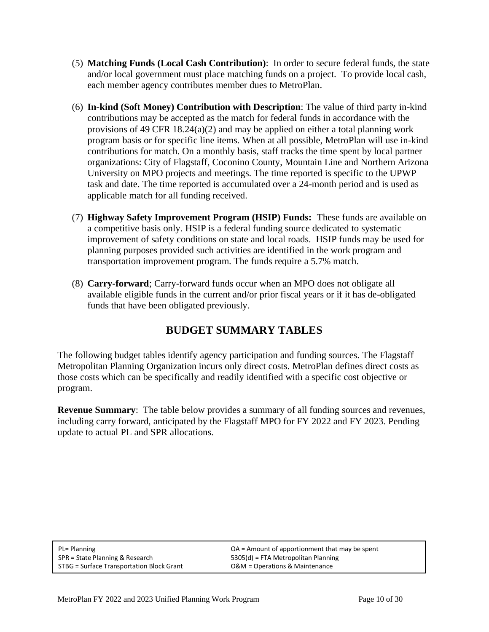- (5) **Matching Funds (Local Cash Contribution)**: In order to secure federal funds, the state and/or local government must place matching funds on a project. To provide local cash, each member agency contributes member dues to MetroPlan.
- (6) **In-kind (Soft Money) Contribution with Description**: The value of third party in-kind contributions may be accepted as the match for federal funds in accordance with the provisions of 49 CFR 18.24(a)(2) and may be applied on either a total planning work program basis or for specific line items. When at all possible, MetroPlan will use in-kind contributions for match. On a monthly basis, staff tracks the time spent by local partner organizations: City of Flagstaff, Coconino County, Mountain Line and Northern Arizona University on MPO projects and meetings. The time reported is specific to the UPWP task and date. The time reported is accumulated over a 24-month period and is used as applicable match for all funding received.
- (7) **Highway Safety Improvement Program (HSIP) Funds:** These funds are available on a competitive basis only. HSIP is a federal funding source dedicated to systematic improvement of safety conditions on state and local roads. HSIP funds may be used for planning purposes provided such activities are identified in the work program and transportation improvement program. The funds require a 5.7% match.
- (8) **Carry-forward**; Carry-forward funds occur when an MPO does not obligate all available eligible funds in the current and/or prior fiscal years or if it has de-obligated funds that have been obligated previously.

# **BUDGET SUMMARY TABLES**

The following budget tables identify agency participation and funding sources. The Flagstaff Metropolitan Planning Organization incurs only direct costs. MetroPlan defines direct costs as those costs which can be specifically and readily identified with a specific cost objective or program.

**Revenue Summary**: The table below provides a summary of all funding sources and revenues, including carry forward, anticipated by the Flagstaff MPO for FY 2022 and FY 2023. Pending update to actual PL and SPR allocations.

| PL= Planning                              | $OA =$ Amount of apportionment that may be spent |
|-------------------------------------------|--------------------------------------------------|
| SPR = State Planning & Research           | 5305(d) = FTA Metropolitan Planning              |
| STBG = Surface Transportation Block Grant | O&M = Operations & Maintenance                   |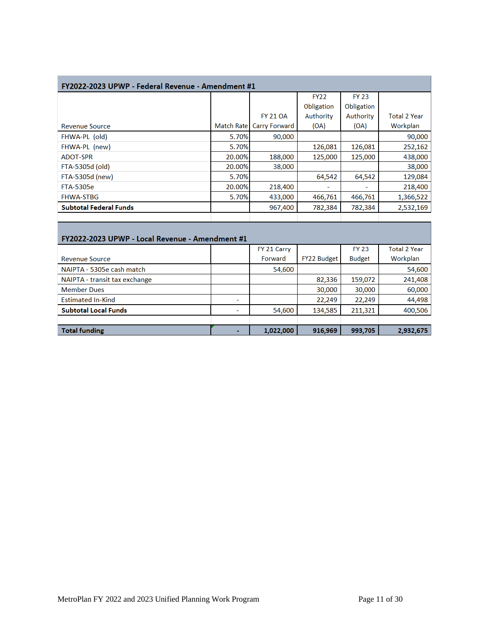| FY2022-2023 UPWP - Federal Revenue - Amendment #1 |                   |                 |             |              |                     |  |  |  |
|---------------------------------------------------|-------------------|-----------------|-------------|--------------|---------------------|--|--|--|
|                                                   |                   |                 | <b>FY22</b> | <b>FY 23</b> |                     |  |  |  |
|                                                   |                   |                 | Obligation  | Obligation   |                     |  |  |  |
|                                                   |                   | <b>FY 21 OA</b> | Authority   | Authority    | <b>Total 2 Year</b> |  |  |  |
| <b>Revenue Source</b>                             | <b>Match Rate</b> | Carry Forward   | (OA)        | (OA)         | Workplan            |  |  |  |
| FHWA-PL (old)                                     | 5.70%             | 90,000          |             |              | 90,000              |  |  |  |
| FHWA-PL (new)                                     | 5.70%             |                 | 126,081     | 126,081      | 252,162             |  |  |  |
| <b>ADOT-SPR</b>                                   | 20.00%            | 188,000         | 125,000     | 125,000      | 438,000             |  |  |  |
| FTA-5305d (old)                                   | 20.00%            | 38,000          |             |              | 38,000              |  |  |  |
| FTA-5305d (new)                                   | 5.70%             |                 | 64,542      | 64,542       | 129,084             |  |  |  |
| <b>FTA-5305e</b>                                  | 20.00%            | 218,400         |             |              | 218,400             |  |  |  |
| <b>FHWA-STBG</b>                                  | 5.70%             | 433,000         | 466,761     | 466,761      | 1,366,522           |  |  |  |
| <b>Subtotal Federal Funds</b>                     |                   | 967,400         | 782,384     | 782,384      | 2,532,169           |  |  |  |
|                                                   |                   |                 |             |              |                     |  |  |  |
| FY2022-2023 UPWP - Local Revenue - Amendment #1   |                   |                 |             |              |                     |  |  |  |

|                               |   | FY 21 Carry |                    | <b>FY 23</b>  | <b>Total 2 Year</b> |
|-------------------------------|---|-------------|--------------------|---------------|---------------------|
| <b>Revenue Source</b>         |   | Forward     | <b>FY22 Budget</b> | <b>Budget</b> | Workplan            |
| NAIPTA - 5305e cash match     |   | 54,600      |                    |               | 54,600              |
| NAIPTA - transit tax exchange |   |             | 82,336             | 159,072       | 241,408             |
| <b>Member Dues</b>            |   |             | 30,000             | 30,000        | 60,000              |
| <b>Estimated In-Kind</b>      | ٠ |             | 22.249             | 22,249        | 44,498              |
| <b>Subtotal Local Funds</b>   |   | 54,600      | 134,585            | 211,321       | 400,506             |
|                               |   |             |                    |               |                     |
| <b>Total funding</b>          |   | 1,022,000   | 916,969            | 993,705       | 2,932,675           |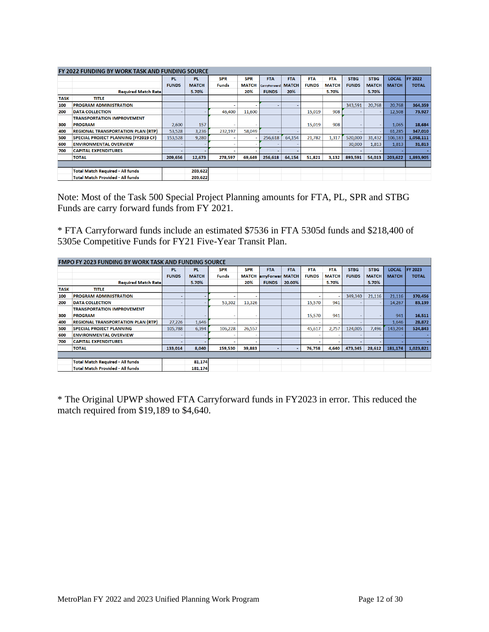| <b>FY 2022 FUNDING BY WORK TASK AND FUNDING SOURCE</b> |                                             |              |              |            |              |              |              |              |              |                          |              |              |              |
|--------------------------------------------------------|---------------------------------------------|--------------|--------------|------------|--------------|--------------|--------------|--------------|--------------|--------------------------|--------------|--------------|--------------|
|                                                        |                                             | <b>PL</b>    | <b>PL</b>    | <b>SPR</b> | <b>SPR</b>   | <b>FTA</b>   | <b>FTA</b>   | <b>FTA</b>   | <b>FTA</b>   | <b>STBG</b>              | <b>STBG</b>  | LOCAL        | FY 2022      |
|                                                        |                                             | <b>FUNDS</b> | <b>MATCH</b> | Funds      | <b>MATCH</b> | CarryForward | <b>MATCH</b> | <b>FUNDS</b> | <b>MATCH</b> | <b>FUNDS</b>             | <b>MATCH</b> | <b>MATCH</b> | <b>TOTAL</b> |
|                                                        | <b>Required Match Ratel</b>                 |              | 5.70%        |            | 20%          | <b>FUNDS</b> | 20%          |              | 5.70%        |                          | 5.70%        |              |              |
| <b>TASK</b>                                            | <b>TITLE</b>                                |              |              |            |              |              |              |              |              |                          |              |              |              |
| 100                                                    | <b>PROGRAM ADMINISTRATION</b>               |              |              |            |              |              |              |              |              | 343,591                  | 20,768       | 20,768       | 364,359      |
| 200                                                    | <b>DATA COLLECTION</b>                      |              |              | 46,400     | 11.600       |              |              | 15.019       | 908          |                          |              | 12.508       | 73,927       |
|                                                        | <b>TRANSPORTATION IMPROVEMENT</b>           |              |              |            |              |              |              |              |              |                          |              |              |              |
| 300                                                    | <b>PROGRAM</b>                              | 2,600        | 157          | $\sim$     |              |              |              | 15,019       | 908          | $\overline{\phantom{a}}$ | ۰            | 1.065        | 18,684       |
| 400                                                    | <b>REGIONAL TRANSPORTATION PLAN (RTP)</b>   | 53,528       | 3,236        | 232.197    | 58.049       |              |              |              |              | $\overline{\phantom{a}}$ | ۰            | 61,285       | 347,010      |
| 500                                                    | <b>SPECIAL PROJECT PLANNING (FY2019 CF)</b> | 153.528      | 9.280        | -          |              | 256,618      | 64.154       | 21.782       | 1,317        | 520,000                  | 31,432       | 106.183      | 1,058,111    |
| 600                                                    | <b>ENVIRONMENTAL OVERVIEW</b>               |              |              |            |              |              |              |              |              | 30,000                   | 1,813        | 1,813        | 31,813       |
| 700                                                    | <b>CAPITAL EXPENDITURES</b>                 |              |              |            |              |              |              |              |              |                          |              |              |              |
|                                                        | <b>TOTAL</b>                                | 209,656      | 12,673       | 278,597    | 69,649       | 256,618      | 64,154       | 51,821       | 3,132        | 893,591                  | 54,013       | 203,622      | 1,893,905    |
|                                                        |                                             |              |              |            |              |              |              |              |              |                          |              |              |              |
|                                                        | <b>Total Match Required - All funds</b>     |              | 203,622      |            |              |              |              |              |              |                          |              |              |              |
|                                                        | <b>Total Match Provided - All funds</b>     |              | 203,622      |            |              |              |              |              |              |                          |              |              |              |

Note: Most of the Task 500 Special Project Planning amounts for FTA, PL, SPR and STBG Funds are carry forward funds from FY 2021.

\* FTA Carryforward funds include an estimated \$7536 in FTA 5305d funds and \$218,400 of 5305e Competitive Funds for FY21 Five-Year Transit Plan.

| <b>FMPO FY 2023 FUNDING BY WORK TASK AND FUNDING SOURCE</b> |                                           |              |              |              |              |                  |            |                          |              |              |                          |              |                 |
|-------------------------------------------------------------|-------------------------------------------|--------------|--------------|--------------|--------------|------------------|------------|--------------------------|--------------|--------------|--------------------------|--------------|-----------------|
|                                                             |                                           | <b>PL</b>    | <b>PL</b>    | <b>SPR</b>   | <b>SPR</b>   | <b>FTA</b>       | <b>FTA</b> | <b>FTA</b>               | <b>FTA</b>   | <b>STBG</b>  | <b>STBG</b>              | <b>LOCAL</b> | <b>IFY 2023</b> |
|                                                             |                                           | <b>FUNDS</b> | <b>MATCH</b> | <b>Funds</b> | <b>MATCH</b> | arryForwar MATCH |            | <b>FUNDS</b>             | <b>MATCH</b> | <b>FUNDS</b> | <b>MATCH</b>             | <b>MATCH</b> | <b>TOTAL</b>    |
|                                                             | <b>Required Match Ratel</b>               |              | 5.70%        |              | 20%          | <b>FUNDS</b>     | 20.00%     |                          | 5.70%        |              | 5.70%                    |              |                 |
| <b>TASK</b>                                                 | <b>TITLE</b>                              |              |              |              |              |                  |            |                          |              |              |                          |              |                 |
| 100                                                         | <b>PROGRAM ADMINISTRATION</b>             |              |              |              |              |                  |            |                          |              | 349,340      | 21,116                   | 21,116       | 370,456         |
| 200                                                         | <b>DATA COLLECTION</b>                    |              |              | 53,302       | 13,326       |                  |            | 15,570                   | 941          |              | $\overline{\phantom{a}}$ | 14,267       | 83,139          |
|                                                             | <b>TRANSPORTATION IMPROVEMENT</b>         |              |              |              |              |                  |            |                          |              |              |                          |              |                 |
| 300                                                         | <b>PROGRAM</b>                            |              |              |              |              |                  |            | 15,570                   | 941          | <b>.</b>     | $\sim$                   | 941          | 16,511          |
| 400                                                         | <b>REGIONAL TRANSPORTATION PLAN (RTP)</b> | 27,226       | 1,646        |              |              |                  |            |                          |              |              | $\overline{\phantom{a}}$ | 1,646        | 28,872          |
| 500                                                         | <b>SPECIAL PROJECT PLANNING</b>           | 105.788      | 6,394        | 106,228      | 26,557       |                  |            | 45,617                   | 2,757        | 124,005      | 7,496                    | 143,204      | 524,843         |
| 600                                                         | <b>ENVIRONMENTAL OVERVIEW</b>             |              |              | ۰            |              |                  |            | $\sim$                   |              |              | $\overline{\phantom{a}}$ |              |                 |
| 700                                                         | <b>CAPITAL EXPENDITURES</b>               |              |              |              |              |                  |            | $\overline{\phantom{0}}$ |              |              | $\overline{\phantom{0}}$ |              |                 |
|                                                             | <b>TOTAL</b>                              | 133,014      | 8,040        | 159,530      | 39,883       |                  |            | 76,758                   | 4,640        | 473,345      | 28,612                   | 181,174      | 1,023,821       |
|                                                             |                                           |              |              |              |              |                  |            |                          |              |              |                          |              |                 |
|                                                             | <b>Total Match Required - All funds</b>   |              | 81,174       |              |              |                  |            |                          |              |              |                          |              |                 |
|                                                             | <b>Total Match Provided - All funds</b>   |              | 181,174      |              |              |                  |            |                          |              |              |                          |              |                 |

\* The Original UPWP showed FTA Carryforward funds in FY2023 in error. This reduced the match required from \$19,189 to \$4,640.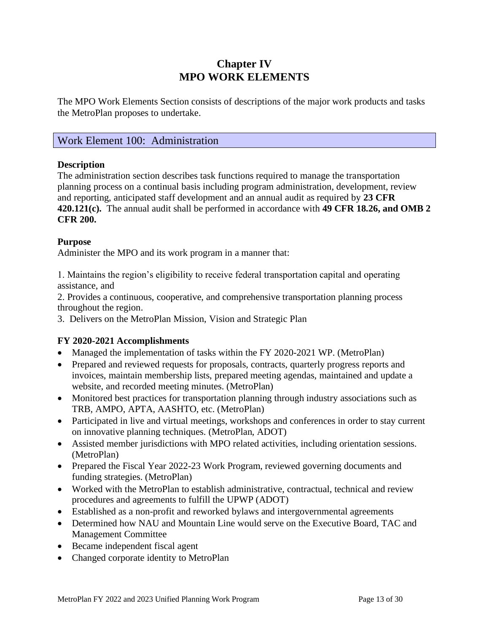# **Chapter IV MPO WORK ELEMENTS**

The MPO Work Elements Section consists of descriptions of the major work products and tasks the MetroPlan proposes to undertake.

## Work Element 100: Administration

## **Description**

The administration section describes task functions required to manage the transportation planning process on a continual basis including program administration, development, review and reporting, anticipated staff development and an annual audit as required by **23 CFR 420.121(c).** The annual audit shall be performed in accordance with **49 CFR 18.26, and OMB 2 CFR 200.**

## **Purpose**

Administer the MPO and its work program in a manner that:

1. Maintains the region's eligibility to receive federal transportation capital and operating assistance, and

2. Provides a continuous, cooperative, and comprehensive transportation planning process throughout the region.

3. Delivers on the MetroPlan Mission, Vision and Strategic Plan

## **FY 2020-2021 Accomplishments**

- Managed the implementation of tasks within the FY 2020-2021 WP. (MetroPlan)
- Prepared and reviewed requests for proposals, contracts, quarterly progress reports and invoices, maintain membership lists, prepared meeting agendas, maintained and update a website, and recorded meeting minutes. (MetroPlan)
- Monitored best practices for transportation planning through industry associations such as TRB, AMPO, APTA, AASHTO, etc. (MetroPlan)
- Participated in live and virtual meetings, workshops and conferences in order to stay current on innovative planning techniques. (MetroPlan, ADOT)
- Assisted member jurisdictions with MPO related activities, including orientation sessions. (MetroPlan)
- Prepared the Fiscal Year 2022-23 Work Program, reviewed governing documents and funding strategies. (MetroPlan)
- Worked with the MetroPlan to establish administrative, contractual, technical and review procedures and agreements to fulfill the UPWP (ADOT)
- Established as a non-profit and reworked bylaws and intergovernmental agreements
- Determined how NAU and Mountain Line would serve on the Executive Board, TAC and Management Committee
- Became independent fiscal agent
- Changed corporate identity to MetroPlan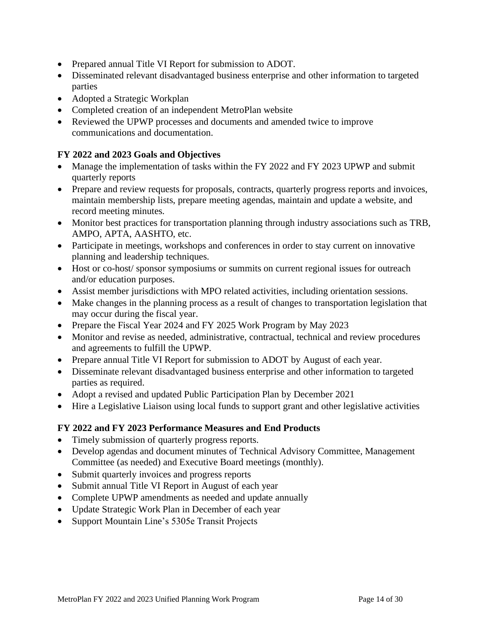- Prepared annual Title VI Report for submission to ADOT.
- Disseminated relevant disadvantaged business enterprise and other information to targeted parties
- Adopted a Strategic Workplan
- Completed creation of an independent MetroPlan website
- Reviewed the UPWP processes and documents and amended twice to improve communications and documentation.

## **FY 2022 and 2023 Goals and Objectives**

- Manage the implementation of tasks within the FY 2022 and FY 2023 UPWP and submit quarterly reports
- Prepare and review requests for proposals, contracts, quarterly progress reports and invoices, maintain membership lists, prepare meeting agendas, maintain and update a website, and record meeting minutes.
- Monitor best practices for transportation planning through industry associations such as TRB, AMPO, APTA, AASHTO, etc.
- Participate in meetings, workshops and conferences in order to stay current on innovative planning and leadership techniques.
- Host or co-host/ sponsor symposiums or summits on current regional issues for outreach and/or education purposes.
- Assist member jurisdictions with MPO related activities, including orientation sessions.
- Make changes in the planning process as a result of changes to transportation legislation that may occur during the fiscal year.
- Prepare the Fiscal Year 2024 and FY 2025 Work Program by May 2023
- Monitor and revise as needed, administrative, contractual, technical and review procedures and agreements to fulfill the UPWP.
- Prepare annual Title VI Report for submission to ADOT by August of each year.
- Disseminate relevant disadvantaged business enterprise and other information to targeted parties as required.
- Adopt a revised and updated Public Participation Plan by December 2021
- Hire a Legislative Liaison using local funds to support grant and other legislative activities

## **FY 2022 and FY 2023 Performance Measures and End Products**

- Timely submission of quarterly progress reports.
- Develop agendas and document minutes of Technical Advisory Committee, Management Committee (as needed) and Executive Board meetings (monthly).
- Submit quarterly invoices and progress reports
- Submit annual Title VI Report in August of each year
- Complete UPWP amendments as needed and update annually
- Update Strategic Work Plan in December of each year
- Support Mountain Line's 5305e Transit Projects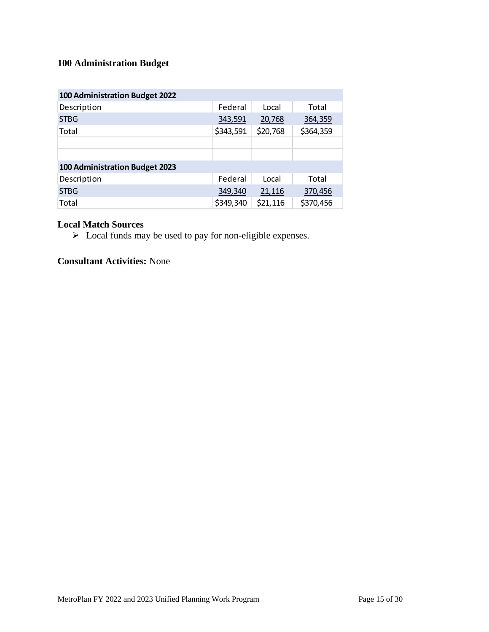## **100 Administration Budget**

| 100 Administration Budget 2022        |           |          |           |
|---------------------------------------|-----------|----------|-----------|
| Description                           | Federal   | Local    | Total     |
| <b>STBG</b>                           | 343,591   | 20,768   | 364,359   |
| Total                                 | \$343,591 | \$20,768 | \$364,359 |
|                                       |           |          |           |
|                                       |           |          |           |
| <b>100 Administration Budget 2023</b> |           |          |           |
| Description                           | Federal   | Local    | Total     |
| <b>STBG</b>                           | 349,340   | 21,116   | 370,456   |
| Total                                 | \$349,340 | \$21,116 | \$370,456 |

## **Local Match Sources**

➢ Local funds may be used to pay for non-eligible expenses.

## **Consultant Activities:** None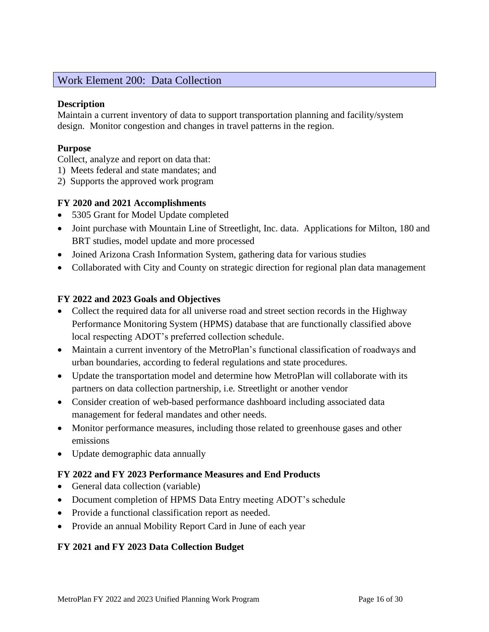## Work Element 200: Data Collection

## **Description**

Maintain a current inventory of data to support transportation planning and facility/system design. Monitor congestion and changes in travel patterns in the region.

## **Purpose**

Collect, analyze and report on data that:

- 1) Meets federal and state mandates; and
- 2) Supports the approved work program

## **FY 2020 and 2021 Accomplishments**

- 5305 Grant for Model Update completed
- Joint purchase with Mountain Line of Streetlight, Inc. data. Applications for Milton, 180 and BRT studies, model update and more processed
- Joined Arizona Crash Information System, gathering data for various studies
- Collaborated with City and County on strategic direction for regional plan data management

## **FY 2022 and 2023 Goals and Objectives**

- Collect the required data for all universe road and street section records in the Highway Performance Monitoring System (HPMS) database that are functionally classified above local respecting ADOT's preferred collection schedule.
- Maintain a current inventory of the MetroPlan's functional classification of roadways and urban boundaries, according to federal regulations and state procedures.
- Update the transportation model and determine how MetroPlan will collaborate with its partners on data collection partnership, i.e. Streetlight or another vendor
- Consider creation of web-based performance dashboard including associated data management for federal mandates and other needs.
- Monitor performance measures, including those related to greenhouse gases and other emissions
- Update demographic data annually

## **FY 2022 and FY 2023 Performance Measures and End Products**

- General data collection (variable)
- Document completion of HPMS Data Entry meeting ADOT's schedule
- Provide a functional classification report as needed.
- Provide an annual Mobility Report Card in June of each year

## **FY 2021 and FY 2023 Data Collection Budget**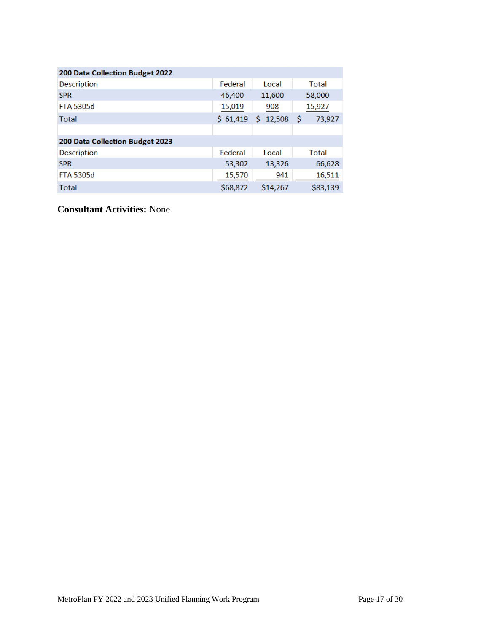| 200 Data Collection Budget 2022 |          |              |             |
|---------------------------------|----------|--------------|-------------|
| Description                     | Federal  | Local        | Total       |
| <b>SPR</b>                      | 46,400   | 11,600       | 58,000      |
| <b>FTA 5305d</b>                | 15,019   | 908          | 15,927      |
| <b>Total</b>                    | \$61,419 | 12,508<br>Ŝ. | Ŝ<br>73,927 |
|                                 |          |              |             |
| 200 Data Collection Budget 2023 |          |              |             |
| <b>Description</b>              | Federal  | Local        | Total       |
| <b>SPR</b>                      | 53,302   | 13,326       | 66,628      |
| <b>FTA 5305d</b>                | 15,570   | 941          | 16,511      |
| <b>Total</b>                    | \$68,872 | \$14,267     | \$83,139    |

**Consultant Activities:** None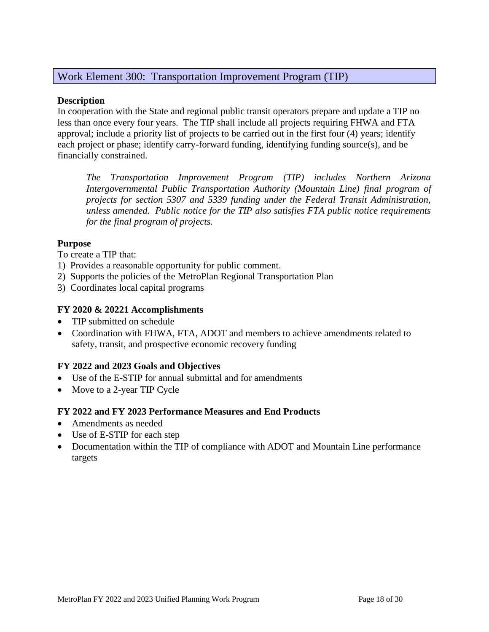## Work Element 300: Transportation Improvement Program (TIP)

## **Description**

In cooperation with the State and regional public transit operators prepare and update a TIP no less than once every four years. The TIP shall include all projects requiring FHWA and FTA approval; include a priority list of projects to be carried out in the first four (4) years; identify each project or phase; identify carry-forward funding, identifying funding source(s), and be financially constrained.

*The Transportation Improvement Program (TIP) includes Northern Arizona Intergovernmental Public Transportation Authority (Mountain Line) final program of projects for section 5307 and 5339 funding under the Federal Transit Administration, unless amended. Public notice for the TIP also satisfies FTA public notice requirements for the final program of projects.*

## **Purpose**

To create a TIP that:

- 1) Provides a reasonable opportunity for public comment.
- 2) Supports the policies of the MetroPlan Regional Transportation Plan
- 3) Coordinates local capital programs

## **FY 2020 & 20221 Accomplishments**

- TIP submitted on schedule
- Coordination with FHWA, FTA, ADOT and members to achieve amendments related to safety, transit, and prospective economic recovery funding

## **FY 2022 and 2023 Goals and Objectives**

- Use of the E-STIP for annual submittal and for amendments
- Move to a 2-year TIP Cycle

## **FY 2022 and FY 2023 Performance Measures and End Products**

- Amendments as needed
- Use of E-STIP for each step
- Documentation within the TIP of compliance with ADOT and Mountain Line performance targets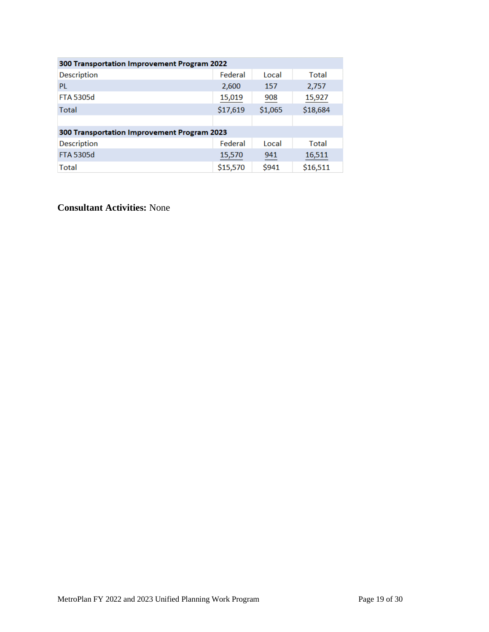| <b>300 Transportation Improvement Program 2022</b> |          |         |          |  |  |  |  |  |
|----------------------------------------------------|----------|---------|----------|--|--|--|--|--|
| <b>Description</b>                                 | Federal  | Local   | Total    |  |  |  |  |  |
| PL                                                 | 2,600    | 157     | 2,757    |  |  |  |  |  |
| <b>FTA 5305d</b>                                   | 15,019   | 908     | 15,927   |  |  |  |  |  |
| <b>Total</b>                                       | \$17,619 | \$1,065 | \$18,684 |  |  |  |  |  |
|                                                    |          |         |          |  |  |  |  |  |
| 300 Transportation Improvement Program 2023        |          |         |          |  |  |  |  |  |
| <b>Description</b>                                 | Federal  | Local   | Total    |  |  |  |  |  |
| <b>FTA 5305d</b>                                   | 15,570   | 941     | 16,511   |  |  |  |  |  |
| Total                                              | \$15,570 | \$941   | \$16,511 |  |  |  |  |  |

**Consultant Activities:** None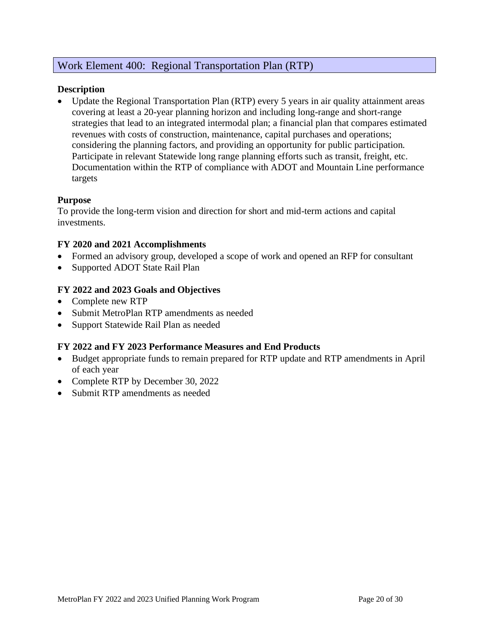## Work Element 400: Regional Transportation Plan (RTP)

## **Description**

• Update the Regional Transportation Plan (RTP) every 5 years in air quality attainment areas covering at least a 20-year planning horizon and including long-range and short-range strategies that lead to an integrated intermodal plan; a financial plan that compares estimated revenues with costs of construction, maintenance, capital purchases and operations; considering the planning factors, and providing an opportunity for public participation. Participate in relevant Statewide long range planning efforts such as transit, freight, etc. Documentation within the RTP of compliance with ADOT and Mountain Line performance targets

## **Purpose**

To provide the long-term vision and direction for short and mid-term actions and capital investments.

## **FY 2020 and 2021 Accomplishments**

- Formed an advisory group, developed a scope of work and opened an RFP for consultant
- Supported ADOT State Rail Plan

## **FY 2022 and 2023 Goals and Objectives**

- Complete new RTP
- Submit MetroPlan RTP amendments as needed
- Support Statewide Rail Plan as needed

## **FY 2022 and FY 2023 Performance Measures and End Products**

- Budget appropriate funds to remain prepared for RTP update and RTP amendments in April of each year
- Complete RTP by December 30, 2022
- Submit RTP amendments as needed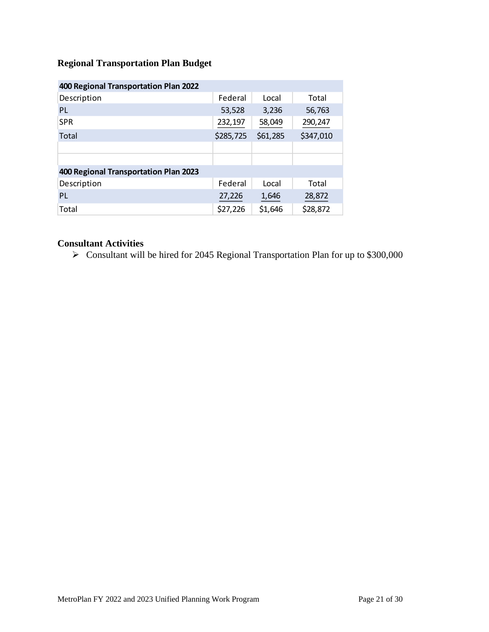## **Regional Transportation Plan Budget**

| 400 Regional Transportation Plan 2022 |           |          |           |
|---------------------------------------|-----------|----------|-----------|
| Description                           | Federal   | Local    | Total     |
| <b>PL</b>                             | 53,528    | 3,236    | 56,763    |
| <b>SPR</b>                            | 232,197   | 58,049   | 290,247   |
| Total                                 | \$285,725 | \$61,285 | \$347,010 |
|                                       |           |          |           |
|                                       |           |          |           |
| 400 Regional Transportation Plan 2023 |           |          |           |
| Description                           | Federal   | Local    | Total     |
| <b>PL</b>                             | 27,226    | 1,646    | 28,872    |
| Total                                 | \$27,226  | \$1,646  | \$28,872  |

## **Consultant Activities**

➢ Consultant will be hired for 2045 Regional Transportation Plan for up to \$300,000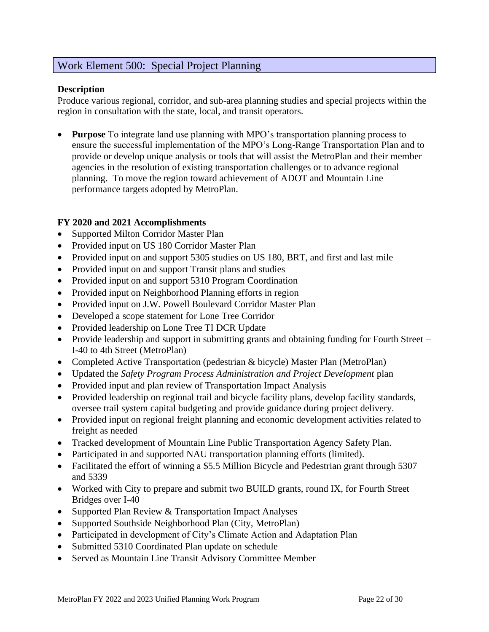## Work Element 500: Special Project Planning

## **Description**

Produce various regional, corridor, and sub-area planning studies and special projects within the region in consultation with the state, local, and transit operators.

**Purpose** To integrate land use planning with MPO's transportation planning process to ensure the successful implementation of the MPO's Long-Range Transportation Plan and to provide or develop unique analysis or tools that will assist the MetroPlan and their member agencies in the resolution of existing transportation challenges or to advance regional planning. To move the region toward achievement of ADOT and Mountain Line performance targets adopted by MetroPlan.

## **FY 2020 and 2021 Accomplishments**

- Supported Milton Corridor Master Plan
- Provided input on US 180 Corridor Master Plan
- Provided input on and support 5305 studies on US 180, BRT, and first and last mile
- Provided input on and support Transit plans and studies
- Provided input on and support 5310 Program Coordination
- Provided input on Neighborhood Planning efforts in region
- Provided input on J.W. Powell Boulevard Corridor Master Plan
- Developed a scope statement for Lone Tree Corridor
- Provided leadership on Lone Tree TI DCR Update
- Provide leadership and support in submitting grants and obtaining funding for Fourth Street I-40 to 4th Street (MetroPlan)
- Completed Active Transportation (pedestrian & bicycle) Master Plan (MetroPlan)
- Updated the *Safety Program Process Administration and Project Development* plan
- Provided input and plan review of Transportation Impact Analysis
- Provided leadership on regional trail and bicycle facility plans, develop facility standards, oversee trail system capital budgeting and provide guidance during project delivery.
- Provided input on regional freight planning and economic development activities related to freight as needed
- Tracked development of Mountain Line Public Transportation Agency Safety Plan.
- Participated in and supported NAU transportation planning efforts (limited).
- Facilitated the effort of winning a \$5.5 Million Bicycle and Pedestrian grant through 5307 and 5339
- Worked with City to prepare and submit two BUILD grants, round IX, for Fourth Street Bridges over I-40
- Supported Plan Review & Transportation Impact Analyses
- Supported Southside Neighborhood Plan (City, MetroPlan)
- Participated in development of City's Climate Action and Adaptation Plan
- Submitted 5310 Coordinated Plan update on schedule
- Served as Mountain Line Transit Advisory Committee Member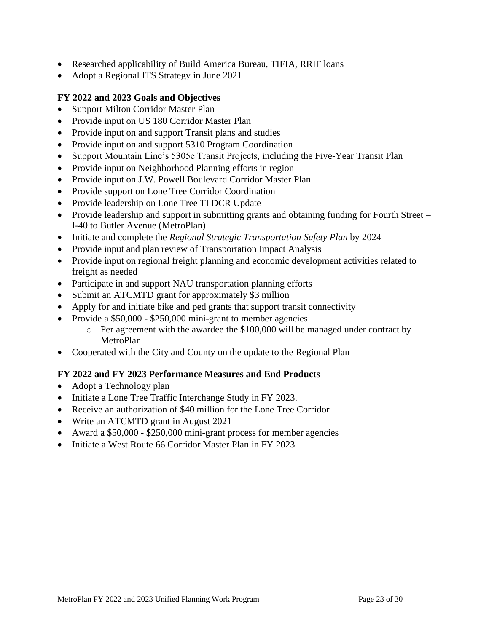- Researched applicability of Build America Bureau, TIFIA, RRIF loans
- Adopt a Regional ITS Strategy in June 2021

## **FY 2022 and 2023 Goals and Objectives**

- Support Milton Corridor Master Plan
- Provide input on US 180 Corridor Master Plan
- Provide input on and support Transit plans and studies
- Provide input on and support 5310 Program Coordination
- Support Mountain Line's 5305e Transit Projects, including the Five-Year Transit Plan
- Provide input on Neighborhood Planning efforts in region
- Provide input on J.W. Powell Boulevard Corridor Master Plan
- Provide support on Lone Tree Corridor Coordination
- Provide leadership on Lone Tree TI DCR Update
- Provide leadership and support in submitting grants and obtaining funding for Fourth Street I-40 to Butler Avenue (MetroPlan)
- Initiate and complete the *Regional Strategic Transportation Safety Plan* by 2024
- Provide input and plan review of Transportation Impact Analysis
- Provide input on regional freight planning and economic development activities related to freight as needed
- Participate in and support NAU transportation planning efforts
- Submit an ATCMTD grant for approximately \$3 million
- Apply for and initiate bike and ped grants that support transit connectivity
- Provide a \$50,000 \$250,000 mini-grant to member agencies
	- o Per agreement with the awardee the \$100,000 will be managed under contract by MetroPlan
- Cooperated with the City and County on the update to the Regional Plan

## **FY 2022 and FY 2023 Performance Measures and End Products**

- Adopt a Technology plan
- Initiate a Lone Tree Traffic Interchange Study in FY 2023.
- Receive an authorization of \$40 million for the Lone Tree Corridor
- Write an ATCMTD grant in August 2021
- Award a \$50,000 \$250,000 mini-grant process for member agencies
- Initiate a West Route 66 Corridor Master Plan in FY 2023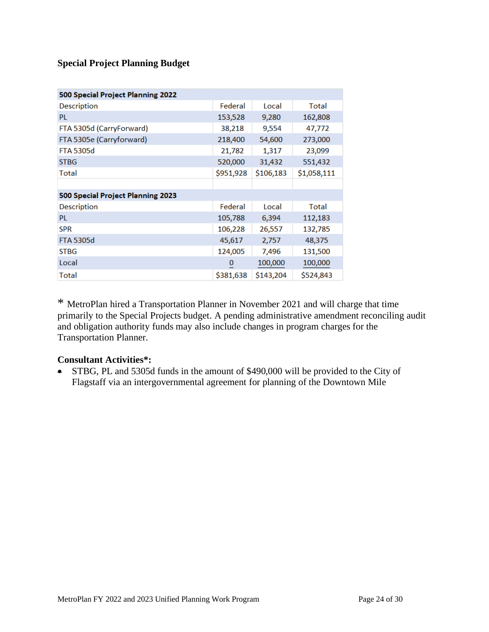## **Special Project Planning Budget**

| 500 Special Project Planning 2022 |           |           |             |
|-----------------------------------|-----------|-----------|-------------|
| Description                       | Federal   | Local     | Total       |
| <b>PL</b>                         | 153,528   | 9,280     | 162,808     |
| FTA 5305d (CarryForward)          | 38,218    | 9,554     | 47,772      |
| FTA 5305e (Carryforward)          | 218,400   | 54,600    | 273,000     |
| <b>FTA 5305d</b>                  | 21,782    | 1,317     | 23,099      |
| <b>STBG</b>                       | 520,000   | 31,432    | 551,432     |
| Total                             | \$951,928 | \$106,183 | \$1,058,111 |
|                                   |           |           |             |
| 500 Special Project Planning 2023 |           |           |             |
| Description                       | Federal   | Local     | Total       |
| PL                                | 105,788   | 6,394     | 112,183     |
| <b>SPR</b>                        | 106,228   | 26,557    | 132,785     |
| <b>FTA 5305d</b>                  | 45,617    | 2,757     | 48,375      |
| <b>STBG</b>                       | 124,005   | 7,496     | 131,500     |
| Local                             | 0         | 100,000   | 100,000     |
| Total                             | \$381,638 | \$143,204 | \$524,843   |

\* MetroPlan hired a Transportation Planner in November 2021 and will charge that time primarily to the Special Projects budget. A pending administrative amendment reconciling audit and obligation authority funds may also include changes in program charges for the Transportation Planner.

## **Consultant Activities\*:**

• STBG, PL and 5305d funds in the amount of \$490,000 will be provided to the City of Flagstaff via an intergovernmental agreement for planning of the Downtown Mile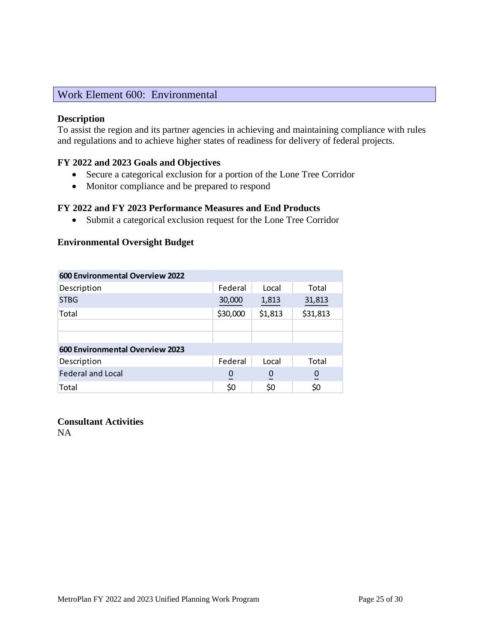## Work Element 600: Environmental

## **Description**

To assist the region and its partner agencies in achieving and maintaining compliance with rules and regulations and to achieve higher states of readiness for delivery of federal projects.

## **FY 2022 and 2023 Goals and Objectives**

- Secure a categorical exclusion for a portion of the Lone Tree Corridor
- Monitor compliance and be prepared to respond

## **FY 2022 and FY 2023 Performance Measures and End Products**

• Submit a categorical exclusion request for the Lone Tree Corridor

#### **Environmental Oversight Budget**

| <b>600 Environmental Overview 2022</b> |          |                |                |
|----------------------------------------|----------|----------------|----------------|
| Description                            | Federal  | Local          | Total          |
| <b>STBG</b>                            | 30,000   | 1,813          | 31,813         |
| Total                                  | \$30,000 | \$1,813        | \$31,813       |
|                                        |          |                |                |
|                                        |          |                |                |
| 600 Environmental Overview 2023        |          |                |                |
| Description                            | Federal  | Local          | Total          |
| <b>Federal and Local</b>               | 0        | $\overline{0}$ | $\overline{0}$ |
| Total                                  | \$0      | \$0            | \$0            |

**Consultant Activities**

NA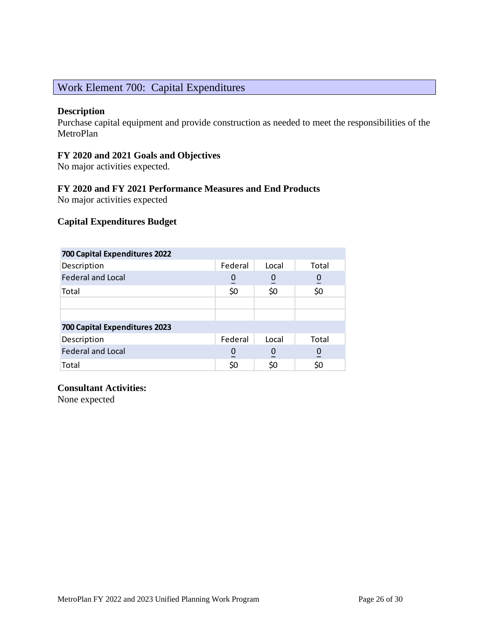## Work Element 700: Capital Expenditures

## **Description**

Purchase capital equipment and provide construction as needed to meet the responsibilities of the MetroPlan

## **FY 2020 and 2021 Goals and Objectives**

No major activities expected.

## **FY 2020 and FY 2021 Performance Measures and End Products**

No major activities expected

## **Capital Expenditures Budget**

| 700 Capital Expenditures 2022 |         |                  |                |
|-------------------------------|---------|------------------|----------------|
| Description                   | Federal | Local            | Total          |
| <b>Federal and Local</b>      | 0       | $\boldsymbol{0}$ | $\overline{0}$ |
| Total                         | \$0     | \$0              | \$0            |
|                               |         |                  |                |
|                               |         |                  |                |
| 700 Capital Expenditures 2023 |         |                  |                |
| Description                   | Federal | Local            | Total          |
| <b>Federal and Local</b>      |         | $\boldsymbol{0}$ | $\overline{0}$ |
| Total                         | S0      | \$0              |                |

## **Consultant Activities:**

None expected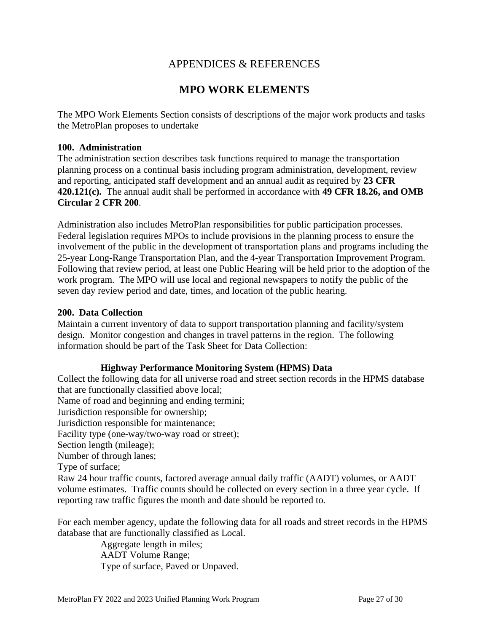## APPENDICES & REFERENCES

## **MPO WORK ELEMENTS**

The MPO Work Elements Section consists of descriptions of the major work products and tasks the MetroPlan proposes to undertake

## **100. Administration**

The administration section describes task functions required to manage the transportation planning process on a continual basis including program administration, development, review and reporting, anticipated staff development and an annual audit as required by **23 CFR 420.121(c).** The annual audit shall be performed in accordance with **49 CFR 18.26, and OMB Circular 2 CFR 200**.

Administration also includes MetroPlan responsibilities for public participation processes. Federal legislation requires MPOs to include provisions in the planning process to ensure the involvement of the public in the development of transportation plans and programs including the 25-year Long-Range Transportation Plan, and the 4-year Transportation Improvement Program. Following that review period, at least one Public Hearing will be held prior to the adoption of the work program. The MPO will use local and regional newspapers to notify the public of the seven day review period and date, times, and location of the public hearing.

#### **200. Data Collection**

Maintain a current inventory of data to support transportation planning and facility/system design. Monitor congestion and changes in travel patterns in the region. The following information should be part of the Task Sheet for Data Collection:

## **Highway Performance Monitoring System (HPMS) Data**

Collect the following data for all universe road and street section records in the HPMS database that are functionally classified above local; Name of road and beginning and ending termini; Jurisdiction responsible for ownership; Jurisdiction responsible for maintenance; Facility type (one-way/two-way road or street); Section length (mileage); Number of through lanes; Type of surface; Raw 24 hour traffic counts, factored average annual daily traffic (AADT) volumes, or AADT volume estimates. Traffic counts should be collected on every section in a three year cycle. If reporting raw traffic figures the month and date should be reported to.

For each member agency, update the following data for all roads and street records in the HPMS database that are functionally classified as Local.

> Aggregate length in miles; AADT Volume Range; Type of surface, Paved or Unpaved.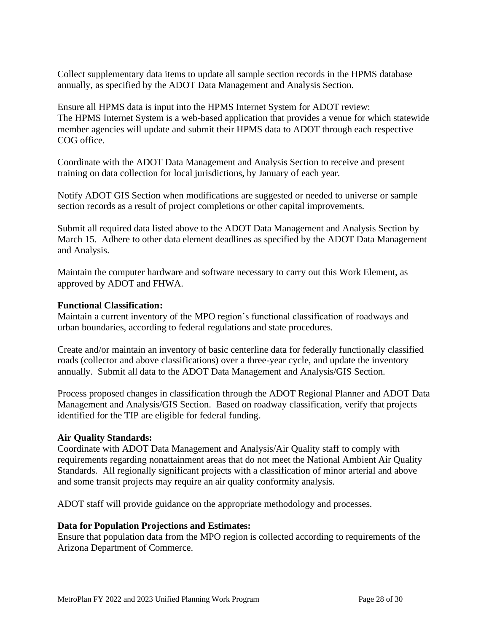Collect supplementary data items to update all sample section records in the HPMS database annually, as specified by the ADOT Data Management and Analysis Section.

Ensure all HPMS data is input into the HPMS Internet System for ADOT review: The HPMS Internet System is a web-based application that provides a venue for which statewide member agencies will update and submit their HPMS data to ADOT through each respective COG office.

Coordinate with the ADOT Data Management and Analysis Section to receive and present training on data collection for local jurisdictions, by January of each year.

Notify ADOT GIS Section when modifications are suggested or needed to universe or sample section records as a result of project completions or other capital improvements.

Submit all required data listed above to the ADOT Data Management and Analysis Section by March 15. Adhere to other data element deadlines as specified by the ADOT Data Management and Analysis.

Maintain the computer hardware and software necessary to carry out this Work Element, as approved by ADOT and FHWA.

## **Functional Classification:**

Maintain a current inventory of the MPO region's functional classification of roadways and urban boundaries, according to federal regulations and state procedures.

Create and/or maintain an inventory of basic centerline data for federally functionally classified roads (collector and above classifications) over a three-year cycle, and update the inventory annually. Submit all data to the ADOT Data Management and Analysis/GIS Section.

Process proposed changes in classification through the ADOT Regional Planner and ADOT Data Management and Analysis/GIS Section. Based on roadway classification, verify that projects identified for the TIP are eligible for federal funding.

## **Air Quality Standards:**

Coordinate with ADOT Data Management and Analysis/Air Quality staff to comply with requirements regarding nonattainment areas that do not meet the National Ambient Air Quality Standards. All regionally significant projects with a classification of minor arterial and above and some transit projects may require an air quality conformity analysis.

ADOT staff will provide guidance on the appropriate methodology and processes.

#### **Data for Population Projections and Estimates:**

Ensure that population data from the MPO region is collected according to requirements of the Arizona Department of Commerce.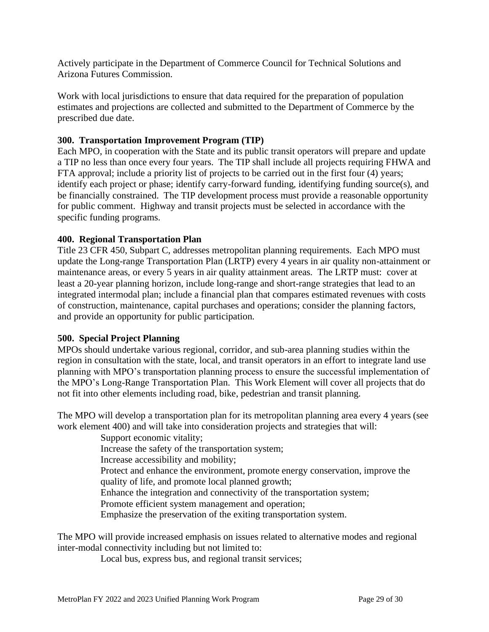Actively participate in the Department of Commerce Council for Technical Solutions and Arizona Futures Commission.

Work with local jurisdictions to ensure that data required for the preparation of population estimates and projections are collected and submitted to the Department of Commerce by the prescribed due date.

## **300. Transportation Improvement Program (TIP)**

Each MPO, in cooperation with the State and its public transit operators will prepare and update a TIP no less than once every four years. The TIP shall include all projects requiring FHWA and FTA approval; include a priority list of projects to be carried out in the first four (4) years; identify each project or phase; identify carry-forward funding, identifying funding source(s), and be financially constrained. The TIP development process must provide a reasonable opportunity for public comment. Highway and transit projects must be selected in accordance with the specific funding programs.

## **400. Regional Transportation Plan**

Title 23 CFR 450, Subpart C, addresses metropolitan planning requirements. Each MPO must update the Long-range Transportation Plan (LRTP) every 4 years in air quality non-attainment or maintenance areas, or every 5 years in air quality attainment areas. The LRTP must: cover at least a 20-year planning horizon, include long-range and short-range strategies that lead to an integrated intermodal plan; include a financial plan that compares estimated revenues with costs of construction, maintenance, capital purchases and operations; consider the planning factors, and provide an opportunity for public participation.

## **500. Special Project Planning**

MPOs should undertake various regional, corridor, and sub-area planning studies within the region in consultation with the state, local, and transit operators in an effort to integrate land use planning with MPO's transportation planning process to ensure the successful implementation of the MPO's Long-Range Transportation Plan. This Work Element will cover all projects that do not fit into other elements including road, bike, pedestrian and transit planning.

The MPO will develop a transportation plan for its metropolitan planning area every 4 years (see work element 400) and will take into consideration projects and strategies that will:

> Support economic vitality; Increase the safety of the transportation system; Increase accessibility and mobility; Protect and enhance the environment, promote energy conservation, improve the quality of life, and promote local planned growth; Enhance the integration and connectivity of the transportation system; Promote efficient system management and operation; Emphasize the preservation of the exiting transportation system.

The MPO will provide increased emphasis on issues related to alternative modes and regional inter-modal connectivity including but not limited to:

Local bus, express bus, and regional transit services;